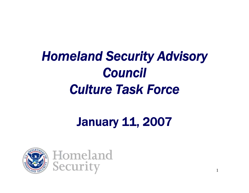# *Homeland Security Advisory Council Culture Task Force*

## January 11, 2007

1

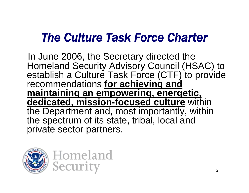### *The Culture Task Force Charter*

In June 2006, the Secretary directed the Homeland Security Advisory Council (HSAC) to establish a Culture Task Force (CTF) to provide recommendations **for achieving and maintaining an empowering, energetic, dedicated, mission-focused culture** within the Department and, most importantly, within the spectrum of its state, tribal, local and private sector partners.

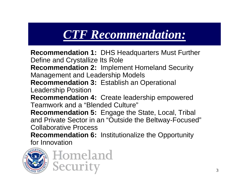## *CTF Recommendation:*

**Recommendation 1:** DHS Headquarters Must Further Define and Crystallize Its Role **Recommendation 2:** Implement Homeland Security Management and Leadership Models **Recommendation 3:** Establish an Operational Leadership Position **Recommendation 4:** Create leadership empowered Teamwork and a "Blended Culture" **Recommendation 5:** Engage the State, Local, Tribal and Private Sector in an "Outside the Beltway-Focused" Collaborative Process **Recommendation 6:** Institutionalize the Opportunity for Innovation

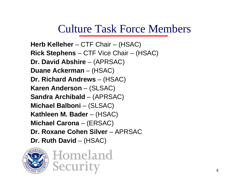### Culture Task Force Members

**Herb Kelleher** – CTF Chair – (HSAC) **Rick Stephens** – CTF Vice Chair – (HSAC) **Dr. David Abshire** – (APRSAC) **Duane Ackerman** – (HSAC) **Dr. Richard Andrews** – (HSAC) **Karen Anderson** – (SLSAC) **Sandra Archibald** – (APRSAC) **Michael Balboni** – (SLSAC) **Kathleen M. Bader** – (HSAC) **Michael Carona** – (ERSAC) **Dr. Roxane Cohen Silver** – APRSAC **Dr. Ruth David** – (HSAC)

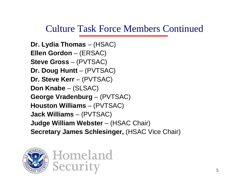### Culture Task Force Members Continued

```
Dr. Lydia Thomas – (HSAC)
Ellen Gordon – (ERSAC)
Steve Gross – (PVTSAC)
Dr. Doug Huntt – (PVTSAC)
Dr. Steve Kerr – (PVTSAC)
Don Knabe – (SLSAC)
George Vradenburg – (PVTSAC)
Houston Williams – (PVTSAC)
Jack Williams – (PVTSAC)
Judge William Webster – (HSAC Chair)
Secretary James Schlesinger, (HSAC Vice Chair)
```
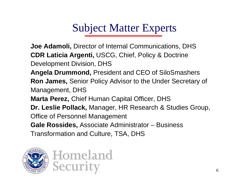### Subject Matter Experts

**Joe Adamoli,** Director of Internal Communications, DHS **CDR Laticia Argenti,** USCG, Chief, Policy & Doctrine Development Division, DHS

**Angela Drummond,** President and CEO of SiloSmashers **Ron James,** Senior Policy Advisor to the Under Secretary of Management, DHS **Marta Perez,** Chief Human Capital Officer, DHS **Dr. Leslie Pollack,** Manager, HR Research & Studies Group, Office of Personnel Management

**Gale Rossides,** Associate Administrator – Business

Transformation and Culture, TSA, DHS